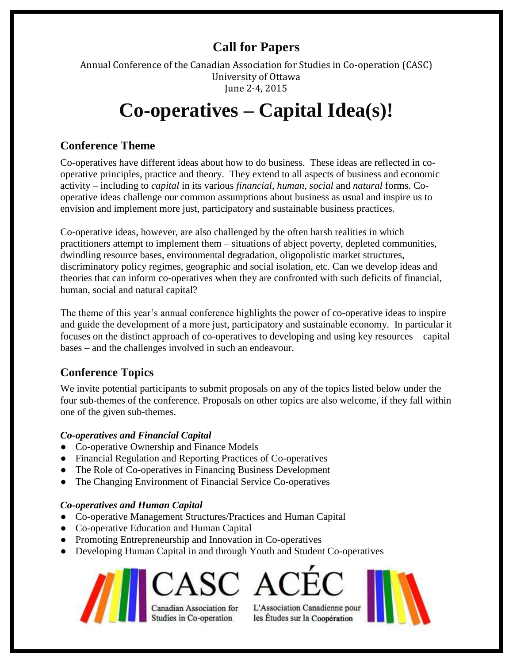# **Call for Papers**

Annual Conference of the Canadian Association for Studies in Co-operation (CASC) University of Ottawa June 2-4, 2015

# **Co-operatives – Capital Idea(s)!**

# **Conference Theme**

Co-operatives have different ideas about how to do business. These ideas are reflected in cooperative principles, practice and theory. They extend to all aspects of business and economic activity – including to *capital* in its various *financial*, *human*, *social* and *natural* forms. Cooperative ideas challenge our common assumptions about business as usual and inspire us to envision and implement more just, participatory and sustainable business practices.

Co-operative ideas, however, are also challenged by the often harsh realities in which practitioners attempt to implement them – situations of abject poverty, depleted communities, dwindling resource bases, environmental degradation, oligopolistic market structures, discriminatory policy regimes, geographic and social isolation, etc. Can we develop ideas and theories that can inform co-operatives when they are confronted with such deficits of financial, human, social and natural capital?

The theme of this year's annual conference highlights the power of co-operative ideas to inspire and guide the development of a more just, participatory and sustainable economy. In particular it focuses on the distinct approach of co-operatives to developing and using key resources – capital bases – and the challenges involved in such an endeavour.

# **Conference Topics**

We invite potential participants to submit proposals on any of the topics listed below under the four sub-themes of the conference. Proposals on other topics are also welcome, if they fall within one of the given sub-themes.

## *Co-operatives and Financial Capital*

- Co-operative Ownership and Finance Models
- Financial Regulation and Reporting Practices of Co-operatives
- The Role of Co-operatives in Financing Business Development
- The Changing Environment of Financial Service Co-operatives

## *Co-operatives and Human Capital*

- Co-operative Management Structures/Practices and Human Capital
- Co-operative Education and Human Capital
- Promoting Entrepreneurship and Innovation in Co-operatives
- Developing Human Capital in and through Youth and Student Co-operatives



Canadian Association for Studies in Co-operation

L'Association Canadienne pour les Études sur la Coopération

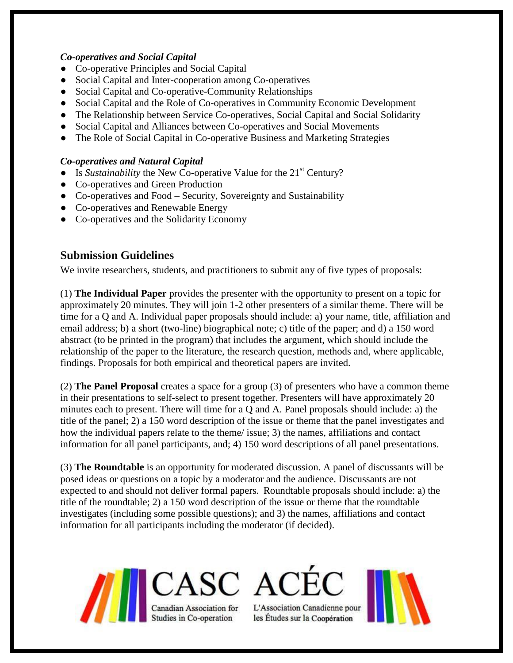#### *Co-operatives and Social Capital*

- Co-operative Principles and Social Capital
- Social Capital and Inter-cooperation among Co-operatives
- Social Capital and Co-operative-Community Relationships
- Social Capital and the Role of Co-operatives in Community Economic Development
- The Relationship between Service Co-operatives, Social Capital and Social Solidarity
- Social Capital and Alliances between Co-operatives and Social Movements
- The Role of Social Capital in Co-operative Business and Marketing Strategies

#### *Co-operatives and Natural Capital*

- Is *Sustainability* the New Co-operative Value for the 21<sup>st</sup> Century?
- Co-operatives and Green Production
- Co-operatives and Food Security, Sovereignty and Sustainability
- Co-operatives and Renewable Energy
- Co-operatives and the Solidarity Economy

## **Submission Guidelines**

We invite researchers, students, and practitioners to submit any of five types of proposals:

(1) **The Individual Paper** provides the presenter with the opportunity to present on a topic for approximately 20 minutes. They will join 1-2 other presenters of a similar theme. There will be time for a Q and A. Individual paper proposals should include: a) your name, title, affiliation and email address; b) a short (two-line) biographical note; c) title of the paper; and d) a 150 word abstract (to be printed in the program) that includes the argument, which should include the relationship of the paper to the literature, the research question, methods and, where applicable, findings. Proposals for both empirical and theoretical papers are invited.

(2) **The Panel Proposal** creates a space for a group (3) of presenters who have a common theme in their presentations to self-select to present together. Presenters will have approximately 20 minutes each to present. There will time for a Q and A. Panel proposals should include: a) the title of the panel; 2) a 150 word description of the issue or theme that the panel investigates and how the individual papers relate to the theme/ issue; 3) the names, affiliations and contact information for all panel participants, and; 4) 150 word descriptions of all panel presentations.

(3) **The Roundtable** is an opportunity for moderated discussion. A panel of discussants will be posed ideas or questions on a topic by a moderator and the audience. Discussants are not expected to and should not deliver formal papers. Roundtable proposals should include: a) the title of the roundtable; 2) a 150 word description of the issue or theme that the roundtable investigates (including some possible questions); and 3) the names, affiliations and contact information for all participants including the moderator (if decided).



L'Association Canadienne pour

les Études sur la Coopération